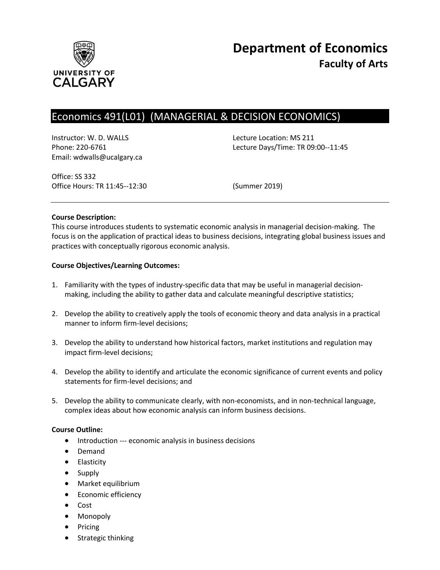

# Economics 491(L01) (MANAGERIAL & DECISION ECONOMICS)

Instructor: W. D. WALLS **Lecture Location: MS 211** Email: wdwalls@ucalgary.ca

Phone: 220-6761 Lecture Days/Time: TR 09:00--11:45

Office: SS 332 Office Hours: TR 11:45--12:30 (Summer 2019)

### **Course Description:**

This course introduces students to systematic economic analysis in managerial decision-making. The focus is on the application of practical ideas to business decisions, integrating global business issues and practices with conceptually rigorous economic analysis.

### **Course Objectives/Learning Outcomes:**

- 1. Familiarity with the types of industry-specific data that may be useful in managerial decisionmaking, including the ability to gather data and calculate meaningful descriptive statistics;
- 2. Develop the ability to creatively apply the tools of economic theory and data analysis in a practical manner to inform firm-level decisions;
- 3. Develop the ability to understand how historical factors, market institutions and regulation may impact firm-level decisions;
- 4. Develop the ability to identify and articulate the economic significance of current events and policy statements for firm-level decisions; and
- 5. Develop the ability to communicate clearly, with non-economists, and in non-technical language, complex ideas about how economic analysis can inform business decisions.

### **Course Outline:**

- Introduction --- economic analysis in business decisions
- Demand
- **•** Elasticity
- Supply
- Market equilibrium
- **•** Economic efficiency
- Cost
- Monopoly
- Pricing
- Strategic thinking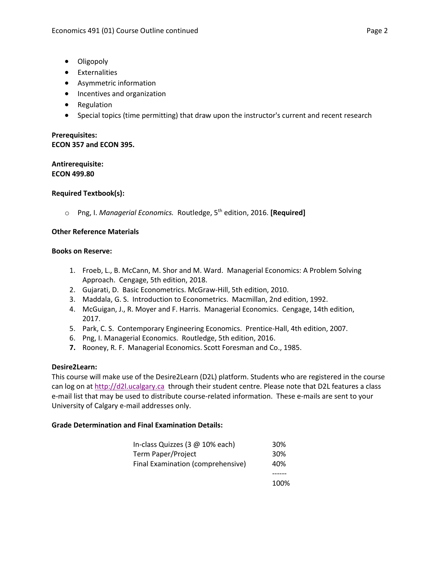- Oligopoly
- Externalities
- Asymmetric information
- Incentives and organization
- Regulation
- Special topics (time permitting) that draw upon the instructor's current and recent research

# **Prerequisites: ECON 357 and ECON 395.**

**Antirerequisite: ECON 499.80**

# **Required Textbook(s):**

o Png, I. *Managerial Economics.* Routledge, 5th edition, 2016. **[Required]**

# **Other Reference Materials**

### **Books on Reserve:**

- 1. Froeb, L., B. McCann, M. Shor and M. Ward. Managerial Economics: A Problem Solving Approach. Cengage, 5th edition, 2018.
- 2. Gujarati, D. Basic Econometrics. McGraw-Hill, 5th edition, 2010.
- 3. Maddala, G. S. Introduction to Econometrics. Macmillan, 2nd edition, 1992.
- 4. McGuigan, J., R. Moyer and F. Harris. Managerial Economics. Cengage, 14th edition, 2017.
- 5. Park, C. S. Contemporary Engineering Economics. Prentice-Hall, 4th edition, 2007.
- 6. Png, I. Managerial Economics. Routledge, 5th edition, 2016.
- **7.** Rooney, R. F. Managerial Economics. Scott Foresman and Co., 1985.

### **Desire2Learn:**

This course will make use of the Desire2Learn (D2L) platform. Students who are registered in the course can log on a[t http://d2l.ucalgary.ca](http://d2l.ucalgary.ca/) through their student centre. Please note that D2L features a class e-mail list that may be used to distribute course-related information. These e-mails are sent to your University of Calgary e-mail addresses only.

# **Grade Determination and Final Examination Details:**

| In-class Quizzes (3 @ 10% each)   | 30%             |
|-----------------------------------|-----------------|
| Term Paper/Project                | 30 <sup>%</sup> |
| Final Examination (comprehensive) | 40%             |
|                                   |                 |

100%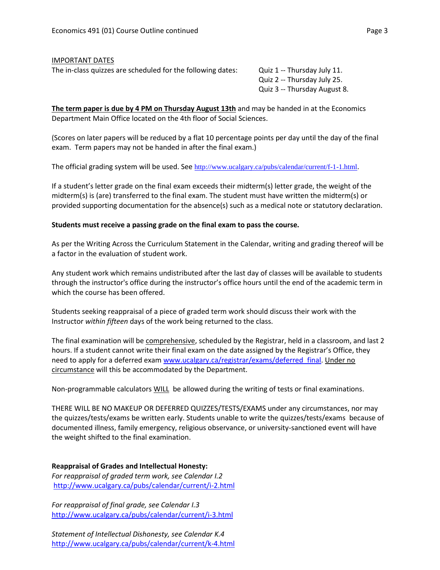# IMPORTANT DATES The in-class quizzes are scheduled for the following dates: Quiz 1 -- Thursday July 11.

Quiz 2 -- Thursday July 25. Quiz 3 -- Thursday August 8.

**The term paper is due by 4 PM on Thursday August 13th** and may be handed in at the Economics Department Main Office located on the 4th floor of Social Sciences.

(Scores on later papers will be reduced by a flat 10 percentage points per day until the day of the final exam. Term papers may not be handed in after the final exam.)

The official grading system will be used. See <http://www.ucalgary.ca/pubs/calendar/current/f-1-1.html>.

If a student's letter grade on the final exam exceeds their midterm(s) letter grade, the weight of the midterm(s) is (are) transferred to the final exam. The student must have written the midterm(s) or provided supporting documentation for the absence(s) such as a medical note or statutory declaration.

# **Students must receive a passing grade on the final exam to pass the course.**

As per the Writing Across the Curriculum Statement in the Calendar, writing and grading thereof will be a factor in the evaluation of student work.

Any student work which remains undistributed after the last day of classes will be available to students through the instructor's office during the instructor's office hours until the end of the academic term in which the course has been offered.

Students seeking reappraisal of a piece of graded term work should discuss their work with the Instructor *within fifteen* days of the work being returned to the class.

The final examination will be comprehensive, scheduled by the Registrar, held in a classroom, and last 2 hours. If a student cannot write their final exam on the date assigned by the Registrar's Office, they need to apply for a deferred exam [www.ucalgary.ca/registrar/exams/deferred\\_final.](http://www.ucalgary.ca/registrar/exams/deferred_final) Under no circumstance will this be accommodated by the Department.

Non-programmable calculators WILL be allowed during the writing of tests or final examinations.

THERE WILL BE NO MAKEUP OR DEFERRED QUIZZES/TESTS/EXAMS under any circumstances, nor may the quizzes/tests/exams be written early. Students unable to write the quizzes/tests/exams because of documented illness, family emergency, religious observance, or university-sanctioned event will have the weight shifted to the final examination.

**Reappraisal of Grades and Intellectual Honesty:** *For reappraisal of graded term work, see Calendar I.2* <http://www.ucalgary.ca/pubs/calendar/current/i-2.html>

*For reappraisal of final grade, see Calendar I.3* <http://www.ucalgary.ca/pubs/calendar/current/i-3.html>

*Statement of Intellectual Dishonesty, see Calendar K.4* <http://www.ucalgary.ca/pubs/calendar/current/k-4.html>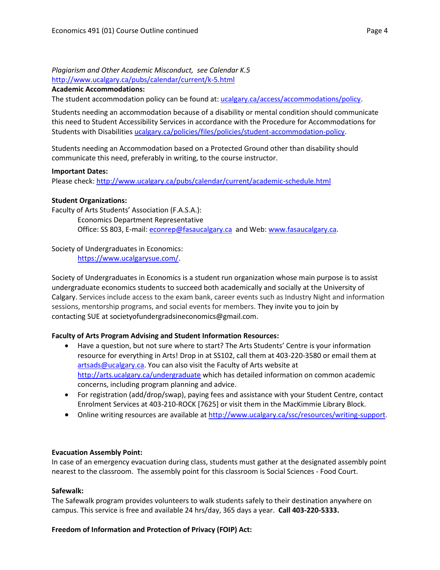*Plagiarism and Other Academic Misconduct, see Calendar K.5* <http://www.ucalgary.ca/pubs/calendar/current/k-5.html>

#### **Academic Accommodations:**

The student accommodation policy can be found at: [ucalgary.ca/access/accommodations/policy.](http://www.ucalgary.ca/access/accommodations/policy)

Students needing an accommodation because of a disability or mental condition should communicate this need to Student Accessibility Services in accordance with the Procedure for Accommodations for Students with Disabilities [ucalgary.ca/policies/files/policies/student-accommodation-policy.](http://www.ucalgary.ca/policies/files/policies/student-accommodation-policy.pdf)

Students needing an Accommodation based on a Protected Ground other than disability should communicate this need, preferably in writing, to the course instructor.

### **Important Dates:**

Please check:<http://www.ucalgary.ca/pubs/calendar/current/academic-schedule.html>

### **Student Organizations:**

Faculty of Arts Students' Association (F.A.S.A.): Economics Department Representative Office: SS 803, E-mail: [econrep@fasaucalgary.ca](mailto:econrep@fasaucalgary.ca) and Web[: www.fasaucalgary.ca.](http://www.fasaucalgary.ca/)

Society of Undergraduates in Economics:

[https://www.ucalgarysue.com/.](https://www.ucalgarysue.com/)

Society of Undergraduates in Economics is a student run organization whose main purpose is to assist undergraduate economics students to succeed both academically and socially at the University of Calgary. Services include access to the exam bank, career events such as Industry Night and information sessions, mentorship programs, and social events for members. They invite you to join by contacting SUE at societyofundergradsineconomics@gmail.com.

### **Faculty of Arts Program Advising and Student Information Resources:**

- Have a question, but not sure where to start? The Arts Students' Centre is your information resource for everything in Arts! Drop in at SS102, call them at 403-220-3580 or email them at [artsads@ucalgary.ca.](mailto:artsads@ucalgary.ca) You can also visit the Faculty of Arts website at <http://arts.ucalgary.ca/undergraduate> which has detailed information on common academic concerns, including program planning and advice.
- For registration (add/drop/swap), paying fees and assistance with your Student Centre, contact Enrolment Services at 403-210-ROCK [7625] or visit them in the MacKimmie Library Block.
- Online writing resources are available at [http://www.ucalgary.ca/ssc/resources/writing-support.](http://www.ucalgary.ca/ssc/resources/writing-support)

### **Evacuation Assembly Point:**

In case of an emergency evacuation during class, students must gather at the designated assembly point nearest to the classroom. The assembly point for this classroom is Social Sciences - Food Court.

### **Safewalk:**

The Safewalk program provides volunteers to walk students safely to their destination anywhere on campus. This service is free and available 24 hrs/day, 365 days a year. **Call 403-220-5333.**

### **Freedom of Information and Protection of Privacy (FOIP) Act:**